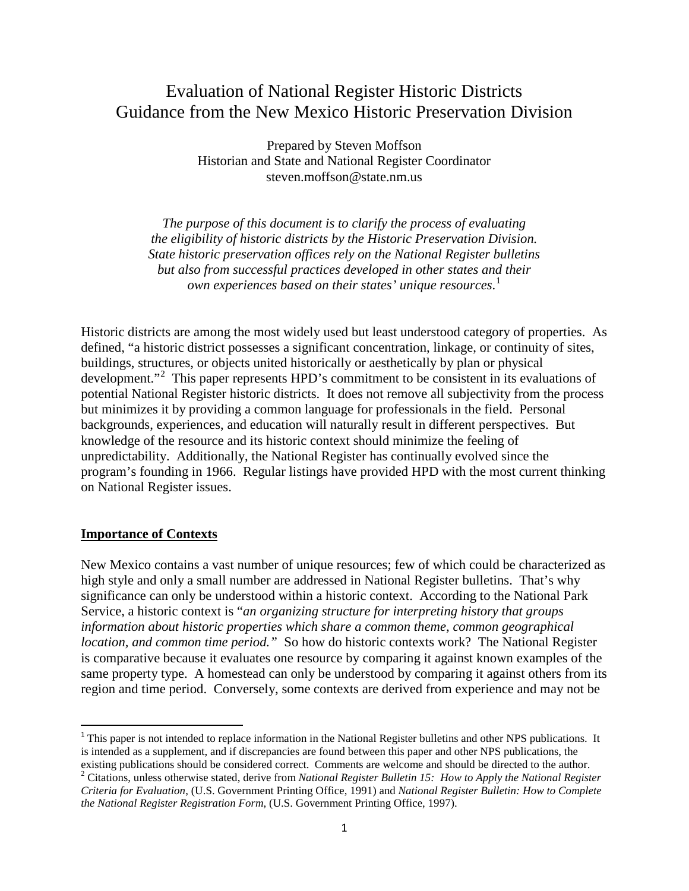# Evaluation of National Register Historic Districts Guidance from the New Mexico Historic Preservation Division

Prepared by Steven Moffson Historian and State and National Register Coordinator steven.moffson@state.nm.us

*The purpose of this document is to clarify the process of evaluating the eligibility of historic districts by the Historic Preservation Division. State historic preservation offices rely on the National Register bulletins but also from successful practices developed in other states and their own experiences based on their states' unique resources*. [1](#page-0-0)

Historic districts are among the most widely used but least understood category of properties. As defined, "a historic district possesses a significant concentration, linkage, or continuity of sites, buildings, structures, or objects united historically or aesthetically by plan or physical development."<sup>[2](#page-0-1)</sup> This paper represents HPD's commitment to be consistent in its evaluations of potential National Register historic districts. It does not remove all subjectivity from the process but minimizes it by providing a common language for professionals in the field. Personal backgrounds, experiences, and education will naturally result in different perspectives. But knowledge of the resource and its historic context should minimize the feeling of unpredictability. Additionally, the National Register has continually evolved since the program's founding in 1966. Regular listings have provided HPD with the most current thinking on National Register issues.

#### **Importance of Contexts**

 $\overline{\phantom{a}}$ 

New Mexico contains a vast number of unique resources; few of which could be characterized as high style and only a small number are addressed in National Register bulletins. That's why significance can only be understood within a historic context. According to the National Park Service, a historic context is "*an organizing structure for interpreting history that groups information about historic properties which share a common theme, common geographical location, and common time period."* So how do historic contexts work? The National Register is comparative because it evaluates one resource by comparing it against known examples of the same property type. A homestead can only be understood by comparing it against others from its region and time period. Conversely, some contexts are derived from experience and may not be

<span id="page-0-0"></span> $1$ <sup>1</sup> This paper is not intended to replace information in the National Register bulletins and other NPS publications. It is intended as a supplement, and if discrepancies are found between this paper and other NPS publications, the existing publications should be considered correct. Comments are welcome and should be directed to the author.

<span id="page-0-1"></span> $2$  Citations, unless otherwise stated, derive from National Register Bulletin 15: How to Apply the National Register *Criteria for Evaluation*, (U.S. Government Printing Office, 1991) and *National Register Bulletin: How to Complete the National Register Registration Form*, (U.S. Government Printing Office, 1997).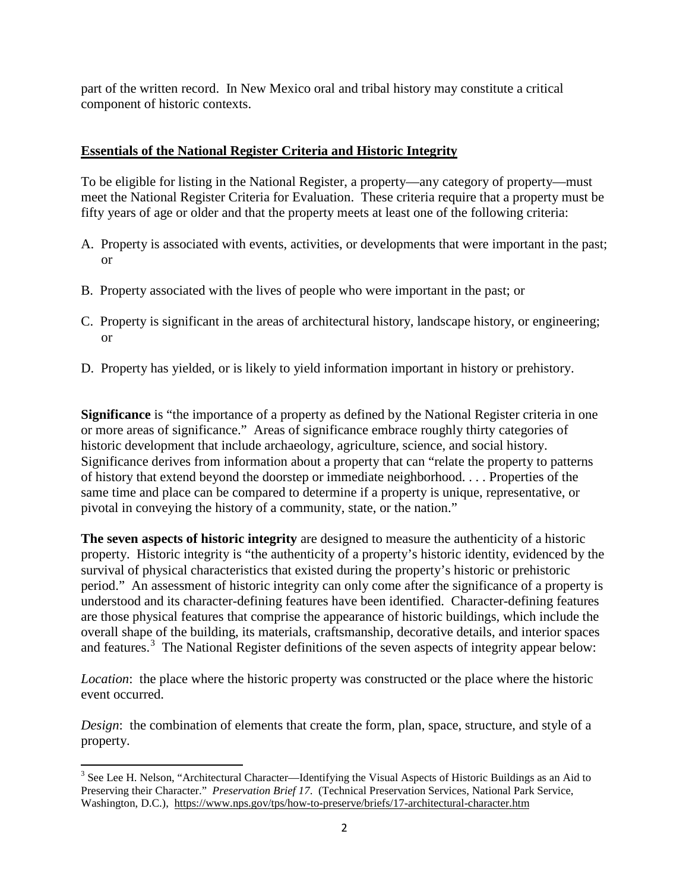part of the written record. In New Mexico oral and tribal history may constitute a critical component of historic contexts.

## **Essentials of the National Register Criteria and Historic Integrity**

To be eligible for listing in the National Register, a property—any category of property—must meet the National Register Criteria for Evaluation. These criteria require that a property must be fifty years of age or older and that the property meets at least one of the following criteria:

- A. Property is associated with events, activities, or developments that were important in the past; or
- B. Property associated with the lives of people who were important in the past; or
- C. Property is significant in the areas of architectural history, landscape history, or engineering; or
- D. Property has yielded, or is likely to yield information important in history or prehistory.

**Significance** is "the importance of a property as defined by the National Register criteria in one or more areas of significance." Areas of significance embrace roughly thirty categories of historic development that include archaeology, agriculture, science, and social history. Significance derives from information about a property that can "relate the property to patterns of history that extend beyond the doorstep or immediate neighborhood. . . . Properties of the same time and place can be compared to determine if a property is unique, representative, or pivotal in conveying the history of a community, state, or the nation."

**The seven aspects of historic integrity** are designed to measure the authenticity of a historic property. Historic integrity is "the authenticity of a property's historic identity, evidenced by the survival of physical characteristics that existed during the property's historic or prehistoric period." An assessment of historic integrity can only come after the significance of a property is understood and its character-defining features have been identified. Character-defining features are those physical features that comprise the appearance of historic buildings, which include the overall shape of the building, its materials, craftsmanship, decorative details, and interior spaces and features.<sup>[3](#page-1-0)</sup> The National Register definitions of the seven aspects of integrity appear below:

*Location*: the place where the historic property was constructed or the place where the historic event occurred.

*Design*: the combination of elements that create the form, plan, space, structure, and style of a property.

<span id="page-1-0"></span><sup>&</sup>lt;sup>3</sup> See Lee H. Nelson, "Architectural Character—Identifying the Visual Aspects of Historic Buildings as an Aid to Preserving their Character." *Preservation Brief 17*. (Technical Preservation Services, National Park Service, Washington, D.C.), <https://www.nps.gov/tps/how-to-preserve/briefs/17-architectural-character.htm>  $\overline{\phantom{a}}$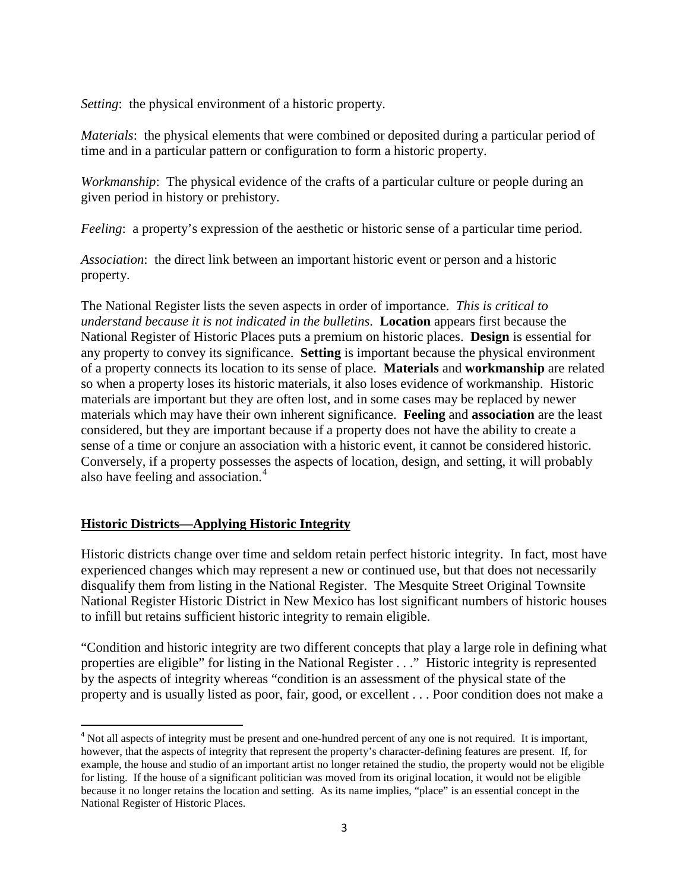*Setting*: the physical environment of a historic property.

*Materials*: the physical elements that were combined or deposited during a particular period of time and in a particular pattern or configuration to form a historic property.

*Workmanship*: The physical evidence of the crafts of a particular culture or people during an given period in history or prehistory.

*Feeling*: a property's expression of the aesthetic or historic sense of a particular time period.

*Association*: the direct link between an important historic event or person and a historic property.

The National Register lists the seven aspects in order of importance. *This is critical to understand because it is not indicated in the bulletins*. **Location** appears first because the National Register of Historic Places puts a premium on historic places. **Design** is essential for any property to convey its significance. **Setting** is important because the physical environment of a property connects its location to its sense of place. **Materials** and **workmanship** are related so when a property loses its historic materials, it also loses evidence of workmanship. Historic materials are important but they are often lost, and in some cases may be replaced by newer materials which may have their own inherent significance. **Feeling** and **association** are the least considered, but they are important because if a property does not have the ability to create a sense of a time or conjure an association with a historic event, it cannot be considered historic. Conversely, if a property possesses the aspects of location, design, and setting, it will probably also have feeling and association.<sup>[4](#page-2-0)</sup>

#### **Historic Districts—Applying Historic Integrity**

 $\overline{\phantom{a}}$ 

Historic districts change over time and seldom retain perfect historic integrity. In fact, most have experienced changes which may represent a new or continued use, but that does not necessarily disqualify them from listing in the National Register. The Mesquite Street Original Townsite National Register Historic District in New Mexico has lost significant numbers of historic houses to infill but retains sufficient historic integrity to remain eligible.

"Condition and historic integrity are two different concepts that play a large role in defining what properties are eligible" for listing in the National Register . . ." Historic integrity is represented by the aspects of integrity whereas "condition is an assessment of the physical state of the property and is usually listed as poor, fair, good, or excellent . . . Poor condition does not make a

<span id="page-2-0"></span><sup>&</sup>lt;sup>4</sup> Not all aspects of integrity must be present and one-hundred percent of any one is not required. It is important, however, that the aspects of integrity that represent the property's character-defining features are present. If, for example, the house and studio of an important artist no longer retained the studio, the property would not be eligible for listing. If the house of a significant politician was moved from its original location, it would not be eligible because it no longer retains the location and setting. As its name implies, "place" is an essential concept in the National Register of Historic Places.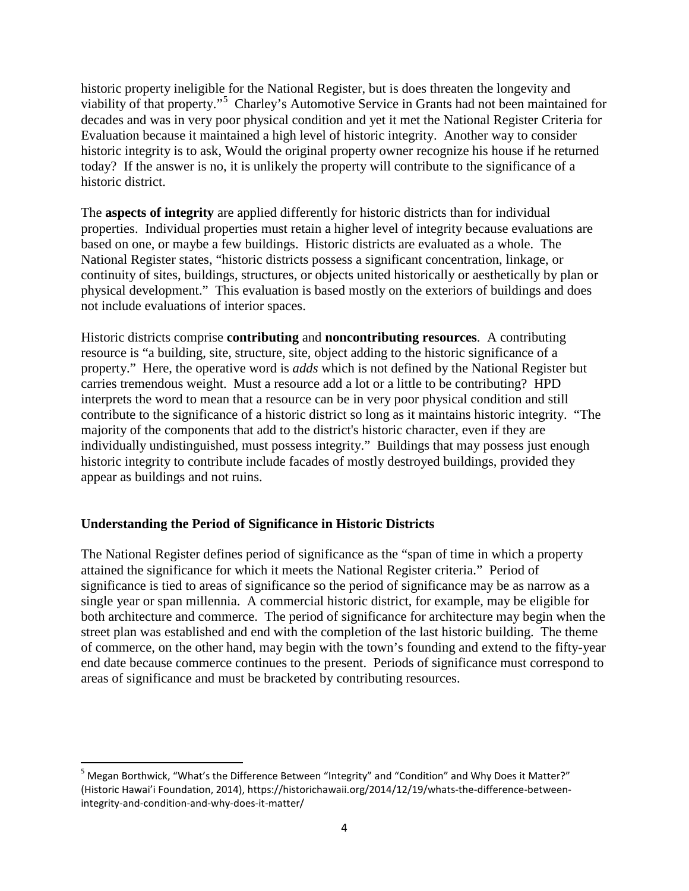historic property ineligible for the National Register, but is does threaten the longevity and viability of that property."[5](#page-3-0) Charley's Automotive Service in Grants had not been maintained for decades and was in very poor physical condition and yet it met the National Register Criteria for Evaluation because it maintained a high level of historic integrity. Another way to consider historic integrity is to ask, Would the original property owner recognize his house if he returned today? If the answer is no, it is unlikely the property will contribute to the significance of a historic district.

The **aspects of integrity** are applied differently for historic districts than for individual properties. Individual properties must retain a higher level of integrity because evaluations are based on one, or maybe a few buildings. Historic districts are evaluated as a whole. The National Register states, "historic districts possess a significant concentration, linkage, or continuity of sites, buildings, structures, or objects united historically or aesthetically by plan or physical development." This evaluation is based mostly on the exteriors of buildings and does not include evaluations of interior spaces.

Historic districts comprise **contributing** and **noncontributing resources**. A contributing resource is "a building, site, structure, site, object adding to the historic significance of a property." Here, the operative word is *adds* which is not defined by the National Register but carries tremendous weight. Must a resource add a lot or a little to be contributing? HPD interprets the word to mean that a resource can be in very poor physical condition and still contribute to the significance of a historic district so long as it maintains historic integrity. "The majority of the components that add to the district's historic character, even if they are individually undistinguished, must possess integrity." Buildings that may possess just enough historic integrity to contribute include facades of mostly destroyed buildings, provided they appear as buildings and not ruins.

## **Understanding the Period of Significance in Historic Districts**

 $\overline{a}$ 

The National Register defines period of significance as the "span of time in which a property attained the significance for which it meets the National Register criteria." Period of significance is tied to areas of significance so the period of significance may be as narrow as a single year or span millennia. A commercial historic district, for example, may be eligible for both architecture and commerce. The period of significance for architecture may begin when the street plan was established and end with the completion of the last historic building. The theme of commerce, on the other hand, may begin with the town's founding and extend to the fifty-year end date because commerce continues to the present. Periods of significance must correspond to areas of significance and must be bracketed by contributing resources.

<span id="page-3-0"></span> $<sup>5</sup>$  Megan Borthwick, "What's the Difference Between "Integrity" and "Condition" and Why Does it Matter?"</sup> (Historic Hawai'i Foundation, 2014), https://historichawaii.org/2014/12/19/whats-the-difference-betweenintegrity-and-condition-and-why-does-it-matter/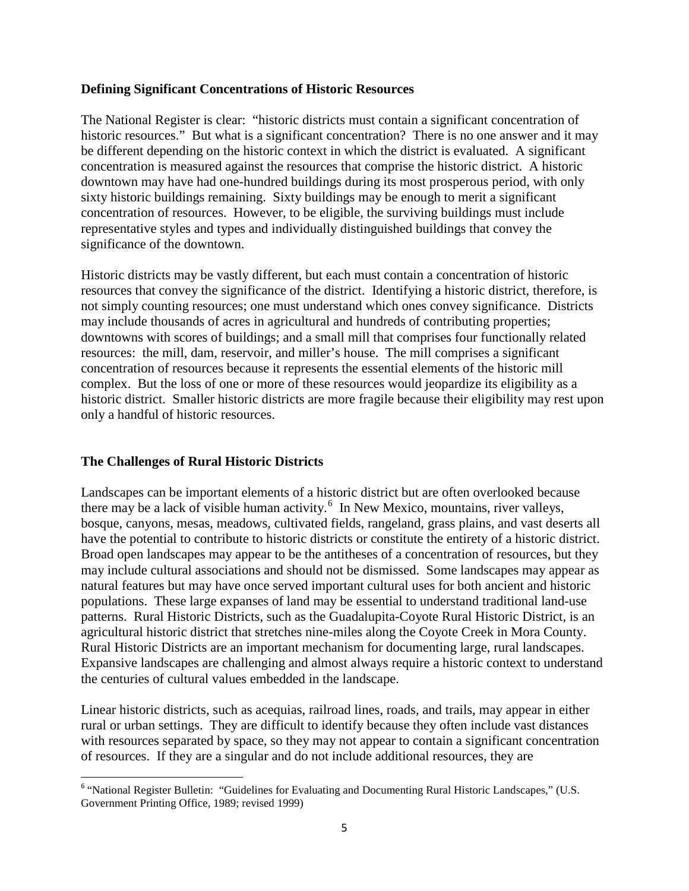#### **Defining Significant Concentrations of Historic Resources**

The National Register is clear: "historic districts must contain a significant concentration of historic resources." But what is a significant concentration? There is no one answer and it may be different depending on the historic context in which the district is evaluated. A significant concentration is measured against the resources that comprise the historic district. A historic downtown may have had one-hundred buildings during its most prosperous period, with only sixty historic buildings remaining. Sixty buildings may be enough to merit a significant concentration of resources. However, to be eligible, the surviving buildings must include representative styles and types and individually distinguished buildings that convey the significance of the downtown.

Historic districts may be vastly different, but each must contain a concentration of historic resources that convey the significance of the district. Identifying a historic district, therefore, is not simply counting resources; one must understand which ones convey significance. Districts may include thousands of acres in agricultural and hundreds of contributing properties; downtowns with scores of buildings; and a small mill that comprises four functionally related resources: the mill, dam, reservoir, and miller's house. The mill comprises a significant concentration of resources because it represents the essential elements of the historic mill complex. But the loss of one or more of these resources would jeopardize its eligibility as a historic district. Smaller historic districts are more fragile because their eligibility may rest upon only a handful of historic resources.

## **The Challenges of Rural Historic Districts**

 $\overline{\phantom{a}}$ 

Landscapes can be important elements of a historic district but are often overlooked because there may be a lack of visible human activity.<sup>[6](#page-4-0)</sup> In New Mexico, mountains, river valleys, bosque, canyons, mesas, meadows, cultivated fields, rangeland, grass plains, and vast deserts all have the potential to contribute to historic districts or constitute the entirety of a historic district. Broad open landscapes may appear to be the antitheses of a concentration of resources, but they may include cultural associations and should not be dismissed. Some landscapes may appear as natural features but may have once served important cultural uses for both ancient and historic populations. These large expanses of land may be essential to understand traditional land-use patterns. Rural Historic Districts, such as the Guadalupita-Coyote Rural Historic District, is an agricultural historic district that stretches nine-miles along the Coyote Creek in Mora County. Rural Historic Districts are an important mechanism for documenting large, rural landscapes. Expansive landscapes are challenging and almost always require a historic context to understand the centuries of cultural values embedded in the landscape.

Linear historic districts, such as acequias, railroad lines, roads, and trails, may appear in either rural or urban settings. They are difficult to identify because they often include vast distances with resources separated by space, so they may not appear to contain a significant concentration of resources. If they are a singular and do not include additional resources, they are

<span id="page-4-0"></span><sup>&</sup>lt;sup>6</sup> "National Register Bulletin: "Guidelines for Evaluating and Documenting Rural Historic Landscapes," (U.S. Government Printing Office, 1989; revised 1999)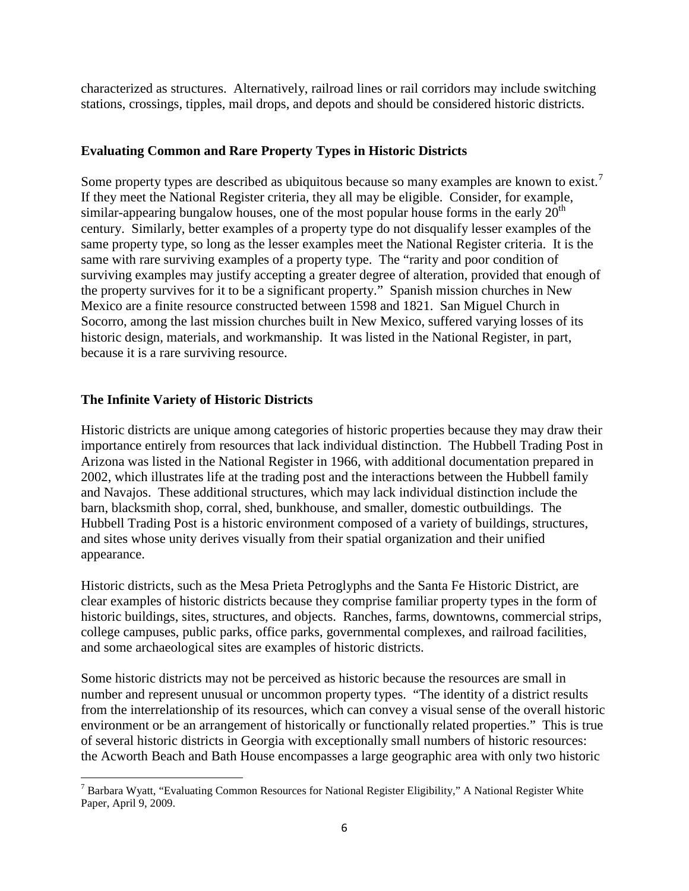characterized as structures. Alternatively, railroad lines or rail corridors may include switching stations, crossings, tipples, mail drops, and depots and should be considered historic districts.

## **Evaluating Common and Rare Property Types in Historic Districts**

Some property types are described as ubiquitous because so many examples are known to exist.<sup>[7](#page-5-0)</sup> If they meet the National Register criteria, they all may be eligible. Consider, for example, similar-appearing bungalow houses, one of the most popular house forms in the early  $20<sup>th</sup>$ century. Similarly, better examples of a property type do not disqualify lesser examples of the same property type, so long as the lesser examples meet the National Register criteria. It is the same with rare surviving examples of a property type. The "rarity and poor condition of surviving examples may justify accepting a greater degree of alteration, provided that enough of the property survives for it to be a significant property." Spanish mission churches in New Mexico are a finite resource constructed between 1598 and 1821. San Miguel Church in Socorro, among the last mission churches built in New Mexico, suffered varying losses of its historic design, materials, and workmanship. It was listed in the National Register, in part, because it is a rare surviving resource.

### **The Infinite Variety of Historic Districts**

l

Historic districts are unique among categories of historic properties because they may draw their importance entirely from resources that lack individual distinction. The Hubbell Trading Post in Arizona was listed in the National Register in 1966, with additional documentation prepared in 2002, which illustrates life at the trading post and the interactions between the Hubbell family and Navajos. These additional structures, which may lack individual distinction include the barn, blacksmith shop, corral, shed, bunkhouse, and smaller, domestic outbuildings. The Hubbell Trading Post is a historic environment composed of a variety of buildings, structures, and sites whose unity derives visually from their spatial organization and their unified appearance.

Historic districts, such as the Mesa Prieta Petroglyphs and the Santa Fe Historic District, are clear examples of historic districts because they comprise familiar property types in the form of historic buildings, sites, structures, and objects. Ranches, farms, downtowns, commercial strips, college campuses, public parks, office parks, governmental complexes, and railroad facilities, and some archaeological sites are examples of historic districts.

Some historic districts may not be perceived as historic because the resources are small in number and represent unusual or uncommon property types. "The identity of a district results from the interrelationship of its resources, which can convey a visual sense of the overall historic environment or be an arrangement of historically or functionally related properties." This is true of several historic districts in Georgia with exceptionally small numbers of historic resources: the Acworth Beach and Bath House encompasses a large geographic area with only two historic

<span id="page-5-0"></span> $^7$  Barbara Wyatt, "Evaluating Common Resources for National Register Eligibility," A National Register White Paper, April 9, 2009.